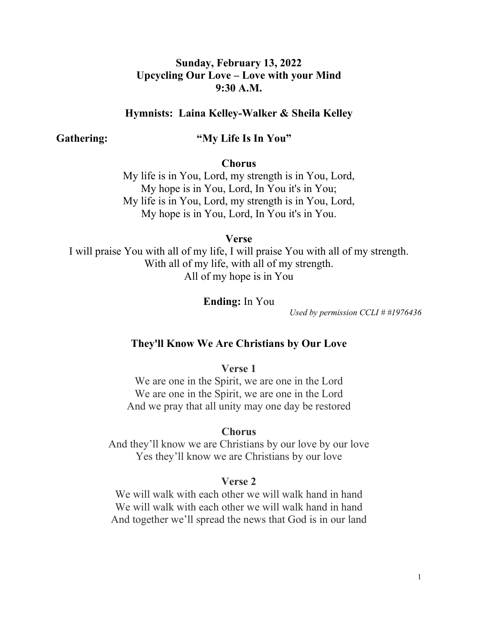# **Sunday, February 13, 2022 Upcycling Our Love – Love with your Mind 9:30 A.M.**

### **Hymnists: Laina Kelley-Walker & Sheila Kelley**

**Gathering: "My Life Is In You"**

## **Chorus**

My life is in You, Lord, my strength is in You, Lord, My hope is in You, Lord, In You it's in You; My life is in You, Lord, my strength is in You, Lord, My hope is in You, Lord, In You it's in You.

#### **Verse**

I will praise You with all of my life, I will praise You with all of my strength. With all of my life, with all of my strength. All of my hope is in You

#### **Ending:** In You

*Used by permission CCLI # #1976436*

#### **They'll Know We Are Christians by Our Love**

#### **Verse 1**

We are one in the Spirit, we are one in the Lord We are one in the Spirit, we are one in the Lord And we pray that all unity may one day be restored

#### **Chorus**

And they'll know we are Christians by our love by our love Yes they'll know we are Christians by our love

#### **Verse 2**

We will walk with each other we will walk hand in hand We will walk with each other we will walk hand in hand And together we'll spread the news that God is in our land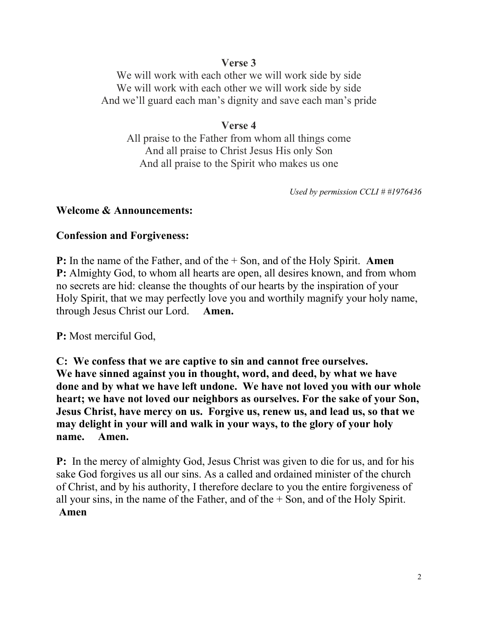# **Verse 3**

We will work with each other we will work side by side We will work with each other we will work side by side And we'll guard each man's dignity and save each man's pride

# **Verse 4**

All praise to the Father from whom all things come And all praise to Christ Jesus His only Son And all praise to the Spirit who makes us one

*Used by permission CCLI # #1976436*

## **Welcome & Announcements:**

# **Confession and Forgiveness:**

**P:** In the name of the Father, and of the + Son, and of the Holy Spirit. **Amen P:** Almighty God, to whom all hearts are open, all desires known, and from whom no secrets are hid: cleanse the thoughts of our hearts by the inspiration of your Holy Spirit, that we may perfectly love you and worthily magnify your holy name, through Jesus Christ our Lord. **Amen.**

**P:** Most merciful God,

**C: We confess that we are captive to sin and cannot free ourselves. We have sinned against you in thought, word, and deed, by what we have done and by what we have left undone. We have not loved you with our whole heart; we have not loved our neighbors as ourselves. For the sake of your Son, Jesus Christ, have mercy on us. Forgive us, renew us, and lead us, so that we may delight in your will and walk in your ways, to the glory of your holy name. Amen.**

**P:** In the mercy of almighty God, Jesus Christ was given to die for us, and for his sake God forgives us all our sins. As a called and ordained minister of the church of Christ, and by his authority, I therefore declare to you the entire forgiveness of all your sins, in the name of the Father, and of the  $+$  Son, and of the Holy Spirit. **Amen**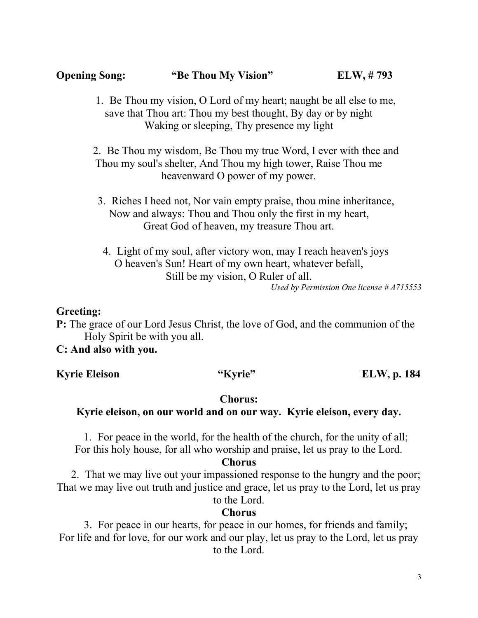# **Opening Song: "Be Thou My Vision" ELW, # 793**

1. Be Thou my vision, O Lord of my heart; naught be all else to me, save that Thou art: Thou my best thought, By day or by night Waking or sleeping, Thy presence my light

2. Be Thou my wisdom, Be Thou my true Word, I ever with thee and Thou my soul's shelter, And Thou my high tower, Raise Thou me heavenward O power of my power.

3. Riches I heed not, Nor vain empty praise, thou mine inheritance, Now and always: Thou and Thou only the first in my heart, Great God of heaven, my treasure Thou art.

4. Light of my soul, after victory won, may I reach heaven's joys O heaven's Sun! Heart of my own heart, whatever befall, Still be my vision, O Ruler of all.

## **Greeting:**

**P:** The grace of our Lord Jesus Christ, the love of God, and the communion of the Holy Spirit be with you all.

**C: And also with you.** 

**Kyrie Eleison** "Kyrie" ELW, p. 184

# **Chorus:**

**Kyrie eleison, on our world and on our way. Kyrie eleison, every day.**

1. For peace in the world, for the health of the church, for the unity of all; For this holy house, for all who worship and praise, let us pray to the Lord.

# **Chorus**

2. That we may live out your impassioned response to the hungry and the poor; That we may live out truth and justice and grace, let us pray to the Lord, let us pray to the Lord.

# **Chorus**

3. For peace in our hearts, for peace in our homes, for friends and family; For life and for love, for our work and our play, let us pray to the Lord, let us pray to the Lord.

*Used by Permission One license # A715553*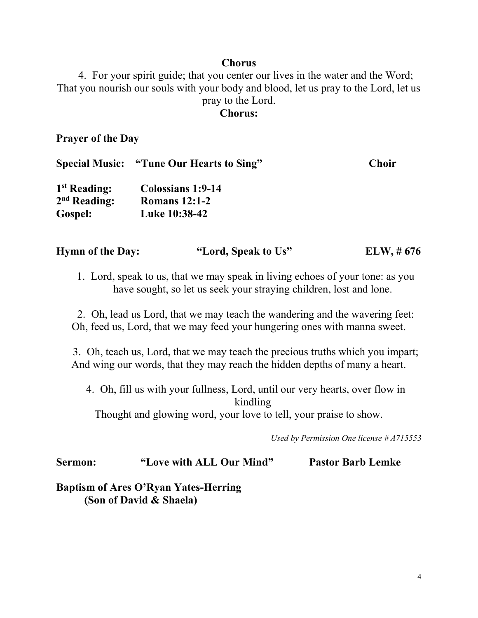## **Chorus**

4. For your spirit guide; that you center our lives in the water and the Word; That you nourish our souls with your body and blood, let us pray to the Lord, let us pray to the Lord. **Chorus:**

**Prayer of the Day**

|                | Special Music: "Tune Our Hearts to Sing" | <b>Choir</b> |
|----------------|------------------------------------------|--------------|
| $1st$ Reading: | <b>Colossians 1:9-14</b>                 |              |
| $2nd$ Reading: | <b>Romans 12:1-2</b>                     |              |
| <b>Gospel:</b> | Luke 10:38-42                            |              |
|                |                                          |              |

| 1. Lord, speak to us, that we may speak in living echoes of your tone: as you |  |  |
|-------------------------------------------------------------------------------|--|--|
|                                                                               |  |  |
| have sought, so let us seek your straying children, lost and lone.            |  |  |

**Hymn of the Day: "Lord, Speak to Us" ELW, # 676**

2. Oh, lead us Lord, that we may teach the wandering and the wavering feet: Oh, feed us, Lord, that we may feed your hungering ones with manna sweet.

3. Oh, teach us, Lord, that we may teach the precious truths which you impart; And wing our words, that they may reach the hidden depths of many a heart.

4. Oh, fill us with your fullness, Lord, until our very hearts, over flow in kindling Thought and glowing word, your love to tell, your praise to show.

*Used by Permission One license # A715553*

# **Sermon: "Love with ALL Our Mind" Pastor Barb Lemke**

**Baptism of Ares O'Ryan Yates-Herring (Son of David & Shaela)**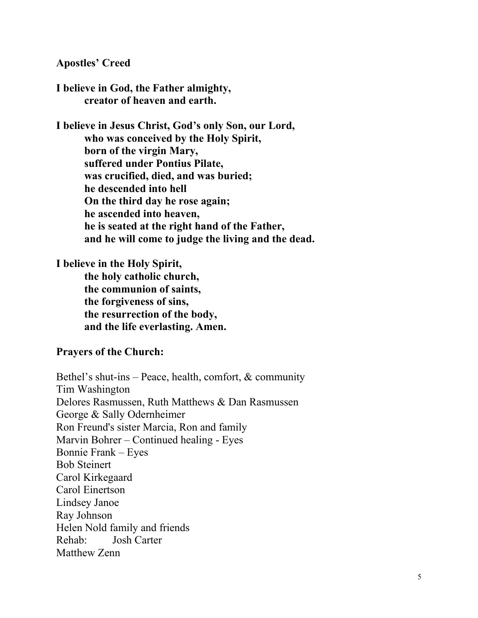### **Apostles' Creed**

**I believe in God, the Father almighty, creator of heaven and earth.**

**I believe in Jesus Christ, God's only Son, our Lord, who was conceived by the Holy Spirit, born of the virgin Mary, suffered under Pontius Pilate, was crucified, died, and was buried; he descended into hell On the third day he rose again; he ascended into heaven, he is seated at the right hand of the Father, and he will come to judge the living and the dead.**

**I believe in the Holy Spirit, the holy catholic church, the communion of saints, the forgiveness of sins, the resurrection of the body, and the life everlasting. Amen.**

#### **Prayers of the Church:**

Bethel's shut-ins – Peace, health, comfort, & community Tim Washington Delores Rasmussen, Ruth Matthews & Dan Rasmussen George & Sally Odernheimer Ron Freund's sister Marcia, Ron and family Marvin Bohrer – Continued healing - Eyes Bonnie Frank – Eyes Bob Steinert Carol Kirkegaard Carol Einertson Lindsey Janoe Ray Johnson Helen Nold family and friends Rehab: Josh Carter Matthew Zenn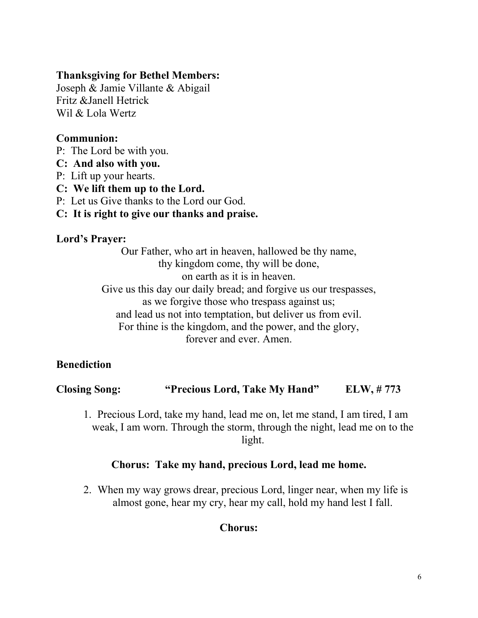# **Thanksgiving for Bethel Members:**

Joseph & Jamie Villante & Abigail Fritz &Janell Hetrick Wil & Lola Wertz

# **Communion:**

P: The Lord be with you.

**C: And also with you.**

P: Lift up your hearts.

**C: We lift them up to the Lord.**

P: Let us Give thanks to the Lord our God.

# **C: It is right to give our thanks and praise.**

# **Lord's Prayer:**

Our Father, who art in heaven, hallowed be thy name, thy kingdom come, thy will be done, on earth as it is in heaven. Give us this day our daily bread; and forgive us our trespasses, as we forgive those who trespass against us; and lead us not into temptation, but deliver us from evil. For thine is the kingdom, and the power, and the glory, forever and ever. Amen.

# **Benediction**

**Closing Song: "Precious Lord, Take My Hand" ELW, # 773**

1. Precious Lord, take my hand, lead me on, let me stand, I am tired, I am weak, I am worn. Through the storm, through the night, lead me on to the light.

# **Chorus: Take my hand, precious Lord, lead me home.**

2. When my way grows drear, precious Lord, linger near, when my life is almost gone, hear my cry, hear my call, hold my hand lest I fall.

# **Chorus:**